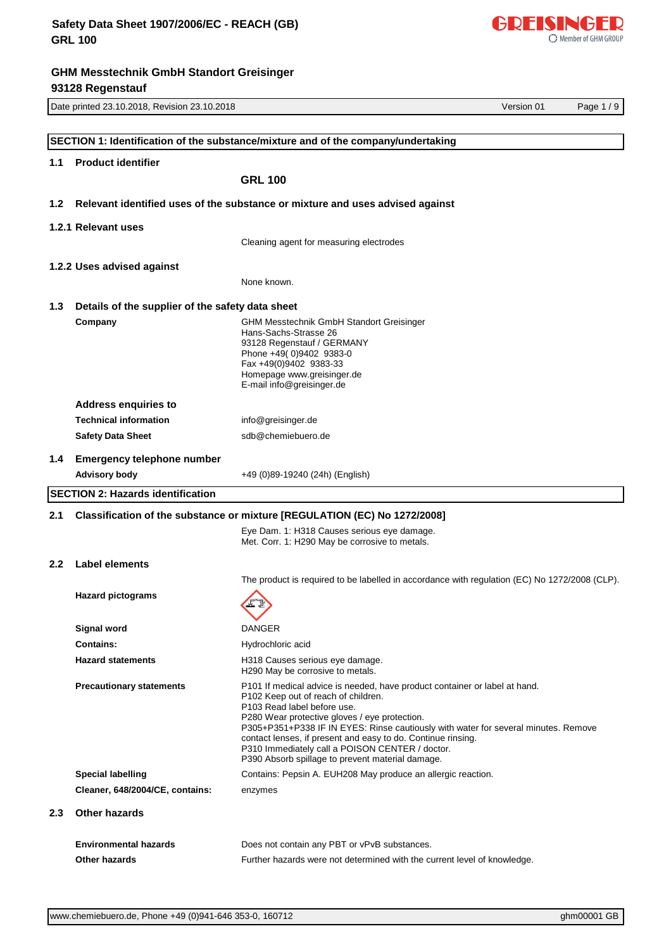

|                  | Date printed 23.10.2018, Revision 23.10.2018              |                                                                                                                                                                                                                                                                                                                                                                                                                                                                            | Version 01 | Page 1/9 |
|------------------|-----------------------------------------------------------|----------------------------------------------------------------------------------------------------------------------------------------------------------------------------------------------------------------------------------------------------------------------------------------------------------------------------------------------------------------------------------------------------------------------------------------------------------------------------|------------|----------|
|                  |                                                           |                                                                                                                                                                                                                                                                                                                                                                                                                                                                            |            |          |
|                  |                                                           | SECTION 1: Identification of the substance/mixture and of the company/undertaking                                                                                                                                                                                                                                                                                                                                                                                          |            |          |
| 1.1              | <b>Product identifier</b>                                 |                                                                                                                                                                                                                                                                                                                                                                                                                                                                            |            |          |
|                  |                                                           | <b>GRL 100</b>                                                                                                                                                                                                                                                                                                                                                                                                                                                             |            |          |
| 1.2              |                                                           | Relevant identified uses of the substance or mixture and uses advised against                                                                                                                                                                                                                                                                                                                                                                                              |            |          |
|                  | 1.2.1 Relevant uses                                       |                                                                                                                                                                                                                                                                                                                                                                                                                                                                            |            |          |
|                  |                                                           | Cleaning agent for measuring electrodes                                                                                                                                                                                                                                                                                                                                                                                                                                    |            |          |
|                  | 1.2.2 Uses advised against                                |                                                                                                                                                                                                                                                                                                                                                                                                                                                                            |            |          |
|                  |                                                           | None known.                                                                                                                                                                                                                                                                                                                                                                                                                                                                |            |          |
| 1.3              | Details of the supplier of the safety data sheet          |                                                                                                                                                                                                                                                                                                                                                                                                                                                                            |            |          |
|                  | Company                                                   | <b>GHM Messtechnik GmbH Standort Greisinger</b><br>Hans-Sachs-Strasse 26<br>93128 Regenstauf / GERMANY<br>Phone +49(0)9402 9383-0<br>Fax +49(0)9402 9383-33<br>Homepage www.greisinger.de<br>E-mail info@greisinger.de                                                                                                                                                                                                                                                     |            |          |
|                  | <b>Address enquiries to</b>                               |                                                                                                                                                                                                                                                                                                                                                                                                                                                                            |            |          |
|                  | <b>Technical information</b>                              | info@greisinger.de                                                                                                                                                                                                                                                                                                                                                                                                                                                         |            |          |
|                  | <b>Safety Data Sheet</b>                                  | sdb@chemiebuero.de                                                                                                                                                                                                                                                                                                                                                                                                                                                         |            |          |
| 1.4              | <b>Emergency telephone number</b><br><b>Advisory body</b> | +49 (0)89-19240 (24h) (English)                                                                                                                                                                                                                                                                                                                                                                                                                                            |            |          |
|                  | <b>SECTION 2: Hazards identification</b>                  |                                                                                                                                                                                                                                                                                                                                                                                                                                                                            |            |          |
| 2.1              |                                                           |                                                                                                                                                                                                                                                                                                                                                                                                                                                                            |            |          |
|                  |                                                           | Classification of the substance or mixture [REGULATION (EC) No 1272/2008]<br>Eye Dam. 1: H318 Causes serious eye damage.<br>Met. Corr. 1: H290 May be corrosive to metals.                                                                                                                                                                                                                                                                                                 |            |          |
| $2.2\phantom{0}$ | <b>Label elements</b>                                     |                                                                                                                                                                                                                                                                                                                                                                                                                                                                            |            |          |
|                  |                                                           | The product is required to be labelled in accordance with regulation (EC) No 1272/2008 (CLP).                                                                                                                                                                                                                                                                                                                                                                              |            |          |
|                  | <b>Hazard pictograms</b>                                  | FI                                                                                                                                                                                                                                                                                                                                                                                                                                                                         |            |          |
|                  | Signal word                                               | <b>DANGER</b>                                                                                                                                                                                                                                                                                                                                                                                                                                                              |            |          |
|                  | <b>Contains:</b>                                          | Hydrochloric acid                                                                                                                                                                                                                                                                                                                                                                                                                                                          |            |          |
|                  | <b>Hazard statements</b>                                  | H318 Causes serious eye damage.<br>H <sub>290</sub> May be corrosive to metals.                                                                                                                                                                                                                                                                                                                                                                                            |            |          |
|                  | <b>Precautionary statements</b>                           | P101 If medical advice is needed, have product container or label at hand.<br>P <sub>102</sub> Keep out of reach of children.<br>P103 Read label before use.<br>P280 Wear protective gloves / eye protection.<br>P305+P351+P338 IF IN EYES: Rinse cautiously with water for several minutes. Remove<br>contact lenses, if present and easy to do. Continue rinsing.<br>P310 Immediately call a POISON CENTER / doctor.<br>P390 Absorb spillage to prevent material damage. |            |          |
|                  | <b>Special labelling</b>                                  | Contains: Pepsin A. EUH208 May produce an allergic reaction.                                                                                                                                                                                                                                                                                                                                                                                                               |            |          |
|                  | Cleaner, 648/2004/CE, contains:                           | enzymes                                                                                                                                                                                                                                                                                                                                                                                                                                                                    |            |          |
| $2.3\phantom{0}$ | <b>Other hazards</b>                                      |                                                                                                                                                                                                                                                                                                                                                                                                                                                                            |            |          |
|                  | <b>Environmental hazards</b>                              | Does not contain any PBT or vPvB substances.                                                                                                                                                                                                                                                                                                                                                                                                                               |            |          |
|                  | Other hazards                                             | Further hazards were not determined with the current level of knowledge.                                                                                                                                                                                                                                                                                                                                                                                                   |            |          |

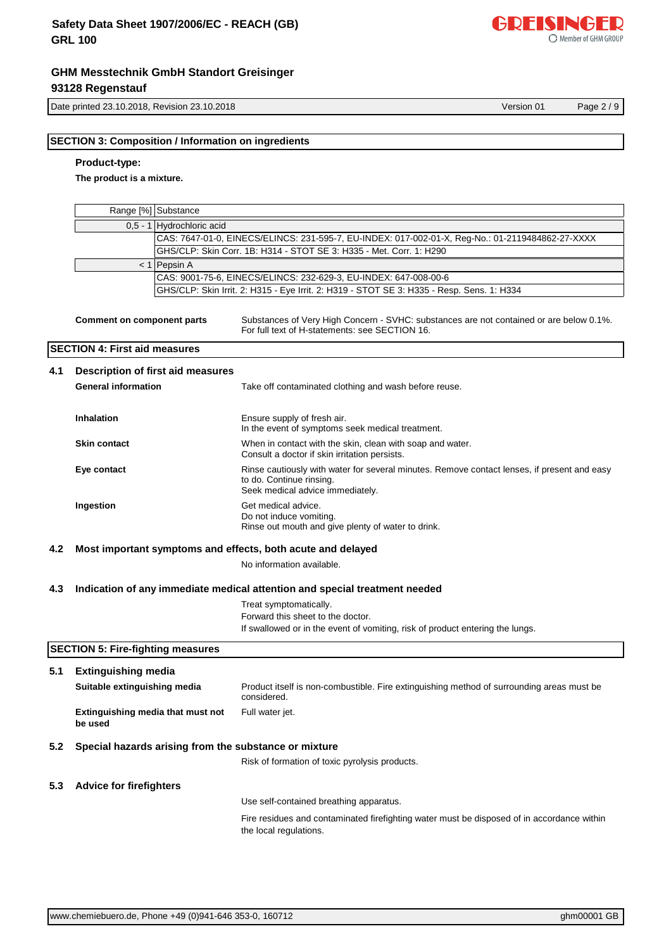

Date printed 23.10.2018, Revision 23.10.2018 Version 01 Page 2 / 9

## **SECTION 3: Composition / Information on ingredients**

## **Product-type:**

**The product is a mixture.**

|     |                                              | Range [%] Substance                      |                                                                                                                                                             |
|-----|----------------------------------------------|------------------------------------------|-------------------------------------------------------------------------------------------------------------------------------------------------------------|
|     |                                              | 0,5 - 1 Hydrochloric acid                |                                                                                                                                                             |
|     |                                              |                                          | CAS: 7647-01-0, EINECS/ELINCS: 231-595-7, EU-INDEX: 017-002-01-X, Reg-No.: 01-2119484862-27-XXXX                                                            |
|     |                                              |                                          | GHS/CLP: Skin Corr. 1B: H314 - STOT SE 3: H335 - Met. Corr. 1: H290                                                                                         |
|     |                                              | $< 1$ Pepsin A                           |                                                                                                                                                             |
|     |                                              |                                          | CAS: 9001-75-6, EINECS/ELINCS: 232-629-3, EU-INDEX: 647-008-00-6                                                                                            |
|     |                                              |                                          | GHS/CLP: Skin Irrit. 2: H315 - Eye Irrit. 2: H319 - STOT SE 3: H335 - Resp. Sens. 1: H334                                                                   |
|     | <b>Comment on component parts</b>            |                                          | Substances of Very High Concern - SVHC: substances are not contained or are below 0.1%.<br>For full text of H-statements: see SECTION 16.                   |
|     | <b>SECTION 4: First aid measures</b>         |                                          |                                                                                                                                                             |
| 4.1 |                                              | <b>Description of first aid measures</b> |                                                                                                                                                             |
|     | <b>General information</b>                   |                                          | Take off contaminated clothing and wash before reuse.                                                                                                       |
|     | <b>Inhalation</b>                            |                                          | Ensure supply of fresh air.<br>In the event of symptoms seek medical treatment.                                                                             |
|     | <b>Skin contact</b>                          |                                          | When in contact with the skin, clean with soap and water.<br>Consult a doctor if skin irritation persists.                                                  |
|     | Eye contact                                  |                                          | Rinse cautiously with water for several minutes. Remove contact lenses, if present and easy<br>to do. Continue rinsing.<br>Seek medical advice immediately. |
|     | Ingestion                                    |                                          | Get medical advice.<br>Do not induce vomiting.<br>Rinse out mouth and give plenty of water to drink.                                                        |
| 4.2 |                                              |                                          | Most important symptoms and effects, both acute and delayed                                                                                                 |
|     |                                              |                                          | No information available.                                                                                                                                   |
| 4.3 |                                              |                                          | Indication of any immediate medical attention and special treatment needed                                                                                  |
|     |                                              |                                          | Treat symptomatically.                                                                                                                                      |
|     |                                              |                                          | Forward this sheet to the doctor.                                                                                                                           |
|     |                                              |                                          | If swallowed or in the event of vomiting, risk of product entering the lungs.                                                                               |
|     | <b>SECTION 5: Fire-fighting measures</b>     |                                          |                                                                                                                                                             |
| 5.1 | <b>Extinguishing media</b>                   |                                          |                                                                                                                                                             |
|     | Suitable extinguishing media                 |                                          | Product itself is non-combustible. Fire extinguishing method of surrounding areas must be<br>considered.                                                    |
|     | Extinguishing media that must not<br>be used |                                          | Full water jet.                                                                                                                                             |
| 5.2 |                                              |                                          | Special hazards arising from the substance or mixture                                                                                                       |
|     |                                              |                                          | Risk of formation of toxic pyrolysis products.                                                                                                              |
| 5.3 | <b>Advice for firefighters</b>               |                                          |                                                                                                                                                             |
|     |                                              |                                          | Use self-contained breathing apparatus.                                                                                                                     |
|     |                                              |                                          | Fire residues and contaminated firefighting water must be disposed of in accordance within<br>the local regulations.                                        |
|     |                                              |                                          |                                                                                                                                                             |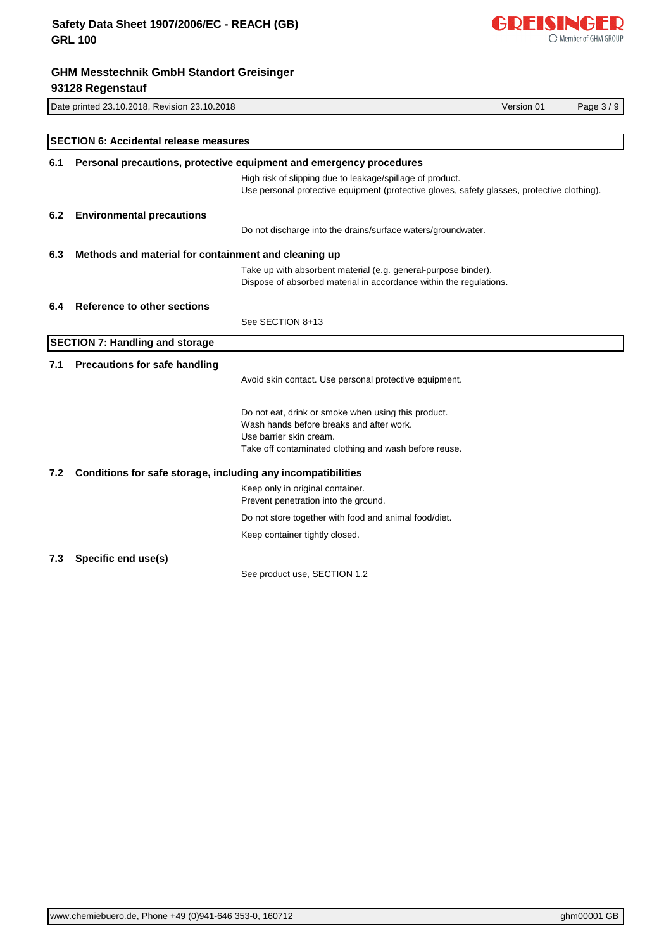

# Date printed 23.10.2018, Revision 23.10.2018 Version 01 Page 3 / 9 **GHM Messtechnik GmbH Standort Greisinger 93128 Regenstauf SECTION 6: Accidental release measures 6.1 Personal precautions, protective equipment and emergency procedures** High risk of slipping due to leakage/spillage of product. Use personal protective equipment (protective gloves, safety glasses, protective clothing). **6.2 Environmental precautions** Do not discharge into the drains/surface waters/groundwater. **6.3 Methods and material for containment and cleaning up** Take up with absorbent material (e.g. general-purpose binder). Dispose of absorbed material in accordance within the regulations. **6.4 Reference to other sections** See SECTION 8+13 **SECTION 7: Handling and storage 7.1 Precautions for safe handling** Avoid skin contact. Use personal protective equipment. Do not eat, drink or smoke when using this product. Wash hands before breaks and after work. Use barrier skin cream. Take off contaminated clothing and wash before reuse. **7.2 Conditions for safe storage, including any incompatibilities** Keep only in original container.

Prevent penetration into the ground. Do not store together with food and animal food/diet.

Keep container tightly closed.

## **7.3 Specific end use(s)**

See product use, SECTION 1.2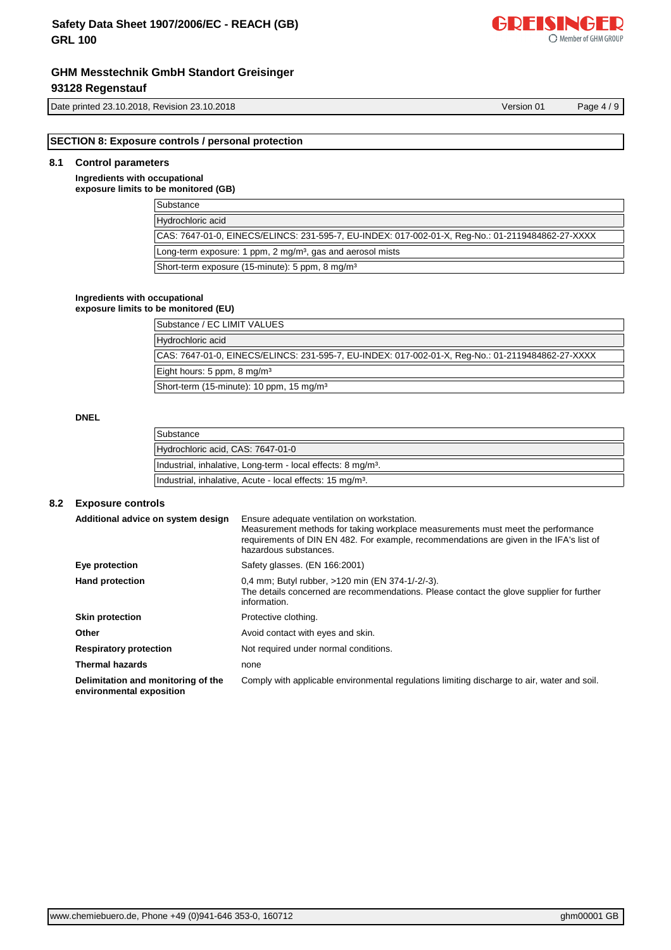Date printed 23.10.2018, Revision 23.10.2018 and 2010 and 2010 and 2010 and 2010 and 2010 version 01 Page 4 / 9

**SECTION 8: Exposure controls / personal protection**

## **8.1 Control parameters**

**Ingredients with occupational exposure limits to be monitored (GB)**

| Substance                                                                                        |
|--------------------------------------------------------------------------------------------------|
| Hydrochloric acid                                                                                |
| CAS: 7647-01-0, EINECS/ELINCS: 231-595-7, EU-INDEX: 017-002-01-X, Req-No.: 01-2119484862-27-XXXX |
| Long-term exposure: 1 ppm, 2 mg/m <sup>3</sup> , gas and aerosol mists                           |
| Short-term exposure (15-minute): 5 ppm, 8 mg/m <sup>3</sup>                                      |

#### **Ingredients with occupational**

## **exposure limits to be monitored (EU)**

| Substance / EC LIMIT VALUES                                                                      |
|--------------------------------------------------------------------------------------------------|
| Hydrochloric acid                                                                                |
|                                                                                                  |
| CAS: 7647-01-0, EINECS/ELINCS: 231-595-7, EU-INDEX: 017-002-01-X, Req-No.: 01-2119484862-27-XXXX |
| Eight hours: 5 ppm, 8 mg/m <sup>3</sup>                                                          |
|                                                                                                  |
| Short-term (15-minute): 10 ppm, 15 mg/m <sup>3</sup>                                             |

#### **DNEL**

| Substance                                                                |
|--------------------------------------------------------------------------|
| Hydrochloric acid, CAS: 7647-01-0                                        |
| Industrial, inhalative, Long-term - local effects: 8 mg/m <sup>3</sup> . |
| Industrial, inhalative, Acute - local effects: 15 mg/m <sup>3</sup> .    |

#### **8.2 Exposure controls**

| Additional advice on system design                             | Ensure adequate ventilation on workstation.<br>Measurement methods for taking workplace measurements must meet the performance<br>requirements of DIN EN 482. For example, recommendations are given in the IFA's list of<br>hazardous substances. |
|----------------------------------------------------------------|----------------------------------------------------------------------------------------------------------------------------------------------------------------------------------------------------------------------------------------------------|
| Eye protection                                                 | Safety glasses. (EN 166:2001)                                                                                                                                                                                                                      |
| <b>Hand protection</b>                                         | 0,4 mm; Butyl rubber, >120 min (EN 374-1/-2/-3).<br>The details concerned are recommendations. Please contact the glove supplier for further<br>information.                                                                                       |
| <b>Skin protection</b>                                         | Protective clothing.                                                                                                                                                                                                                               |
| Other                                                          | Avoid contact with eyes and skin.                                                                                                                                                                                                                  |
| <b>Respiratory protection</b>                                  | Not required under normal conditions.                                                                                                                                                                                                              |
| <b>Thermal hazards</b>                                         | none                                                                                                                                                                                                                                               |
| Delimitation and monitoring of the<br>environmental exposition | Comply with applicable environmental regulations limiting discharge to air, water and soil.                                                                                                                                                        |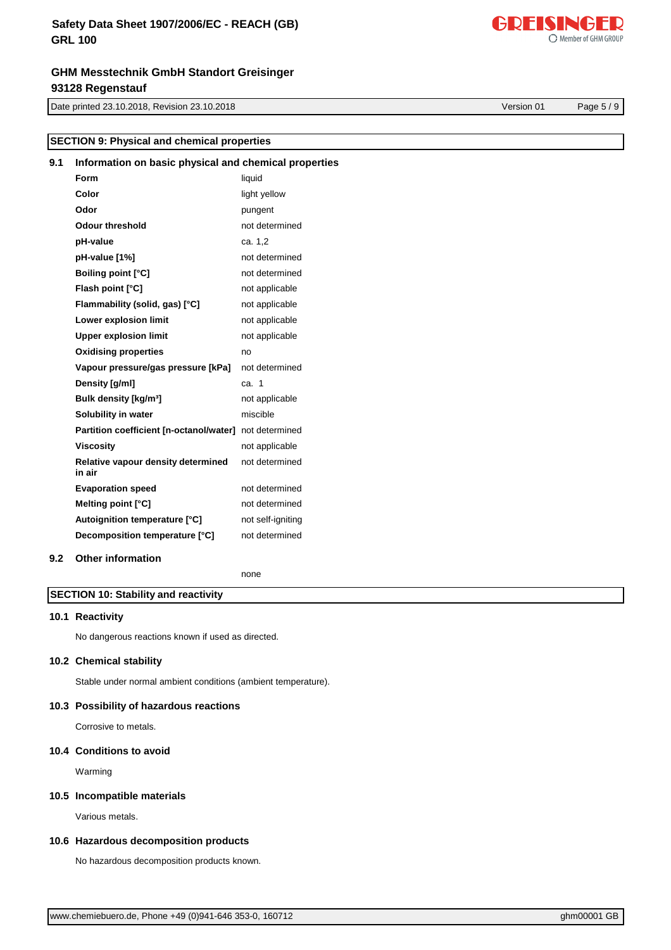**9.1 Information on basic physical and chemical properties**

Date printed 23.10.2018, Revision 23.10.2018 Version 01 Page 5 / 9

**SECTION 9: Physical and chemical properties**

|     | Form                                         | liquid            |
|-----|----------------------------------------------|-------------------|
|     | Color                                        | light yellow      |
|     | Odor                                         | pungent           |
|     | <b>Odour threshold</b>                       | not determined    |
|     | pH-value                                     | ca. 1,2           |
|     | pH-value [1%]                                | not determined    |
|     | <b>Boiling point [°C]</b>                    | not determined    |
|     | Flash point [°C]                             | not applicable    |
|     | Flammability (solid, gas) [°C]               | not applicable    |
|     | Lower explosion limit                        | not applicable    |
|     | <b>Upper explosion limit</b>                 | not applicable    |
|     | <b>Oxidising properties</b>                  | no                |
|     | Vapour pressure/gas pressure [kPa]           | not determined    |
|     | Density [g/ml]                               | ca. 1             |
|     | Bulk density [kg/m <sup>3</sup> ]            | not applicable    |
|     | Solubility in water                          | miscible          |
|     | Partition coefficient [n-octanol/water]      | not determined    |
|     | <b>Viscosity</b>                             | not applicable    |
|     | Relative vapour density determined<br>in air | not determined    |
|     |                                              |                   |
|     | <b>Evaporation speed</b>                     | not determined    |
|     | Melting point [°C]                           | not determined    |
|     | Autoignition temperature [°C]                | not self-igniting |
|     | Decomposition temperature [°C]               | not determined    |
| 9.2 | <b>Other information</b>                     |                   |

## **SECTION 10: Stability and reactivity**

#### **10.1 Reactivity**

No dangerous reactions known if used as directed.

#### **10.2 Chemical stability**

Stable under normal ambient conditions (ambient temperature).

#### **10.3 Possibility of hazardous reactions**

Corrosive to metals.

### **10.4 Conditions to avoid**

Warming

#### **10.5 Incompatible materials**

Various metals.

#### **10.6 Hazardous decomposition products**

No hazardous decomposition products known.



Member of GHM GROUP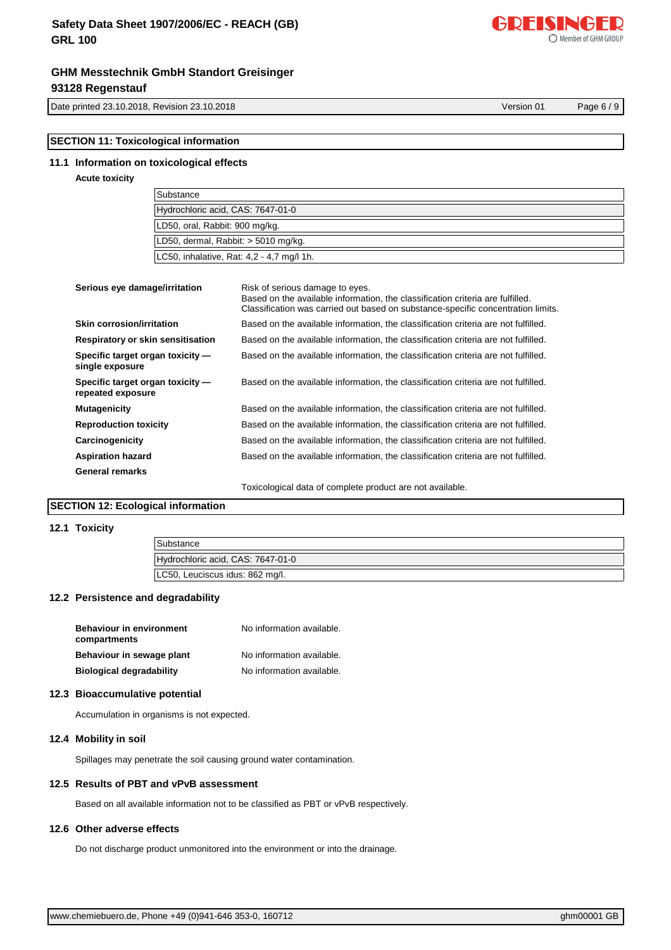## **Safety Data Sheet 1907/2006/EC - REACH (GB) GRL 100**

## **GHM Messtechnik GmbH Standort Greisinger 93128 Regenstauf**

Date printed 23.10.2018, Revision 23.10.2018 Version 01 Page 6 / 9

## **SECTION 11: Toxicological information**

#### **11.1 Information on toxicological effects**

#### **Acute toxicity**

| Substance                                 |
|-------------------------------------------|
| Hydrochloric acid, CAS: 7647-01-0         |
| LD50, oral, Rabbit: 900 mg/kg.            |
| LD50, dermal, Rabbit: > 5010 mg/kg.       |
| LC50, inhalative, Rat: 4,2 - 4,7 mg/l 1h. |

| Serious eye damage/irritation                         | Risk of serious damage to eyes.<br>Based on the available information, the classification criteria are fulfilled.<br>Classification was carried out based on substance-specific concentration limits. |
|-------------------------------------------------------|-------------------------------------------------------------------------------------------------------------------------------------------------------------------------------------------------------|
| Skin corrosion/irritation                             | Based on the available information, the classification criteria are not fulfilled.                                                                                                                    |
| Respiratory or skin sensitisation                     | Based on the available information, the classification criteria are not fulfilled.                                                                                                                    |
| Specific target organ toxicity -<br>single exposure   | Based on the available information, the classification criteria are not fulfilled.                                                                                                                    |
| Specific target organ toxicity -<br>repeated exposure | Based on the available information, the classification criteria are not fulfilled.                                                                                                                    |
| <b>Mutagenicity</b>                                   | Based on the available information, the classification criteria are not fulfilled.                                                                                                                    |
| <b>Reproduction toxicity</b>                          | Based on the available information, the classification criteria are not fulfilled.                                                                                                                    |
| Carcinogenicity                                       | Based on the available information, the classification criteria are not fulfilled.                                                                                                                    |
| <b>Aspiration hazard</b>                              | Based on the available information, the classification criteria are not fulfilled.                                                                                                                    |
| General remarks                                       |                                                                                                                                                                                                       |
|                                                       | Toxicological data of complete product are not available.                                                                                                                                             |

#### **SECTION 12: Ecological information**

#### **12.1 Toxicity**

| Substance                         |
|-----------------------------------|
| Hydrochloric acid, CAS: 7647-01-0 |
| LC50, Leuciscus idus: 862 mg/l.   |

## **12.2 Persistence and degradability**

| <b>Behaviour in environment</b><br>compartments | No information available. |
|-------------------------------------------------|---------------------------|
| Behaviour in sewage plant                       | No information available. |
| <b>Biological degradability</b>                 | No information available. |

#### **12.3 Bioaccumulative potential**

Accumulation in organisms is not expected.

## **12.4 Mobility in soil**

Spillages may penetrate the soil causing ground water contamination.

## **12.5 Results of PBT and vPvB assessment**

Based on all available information not to be classified as PBT or vPvB respectively.

## **12.6 Other adverse effects**

Do not discharge product unmonitored into the environment or into the drainage.

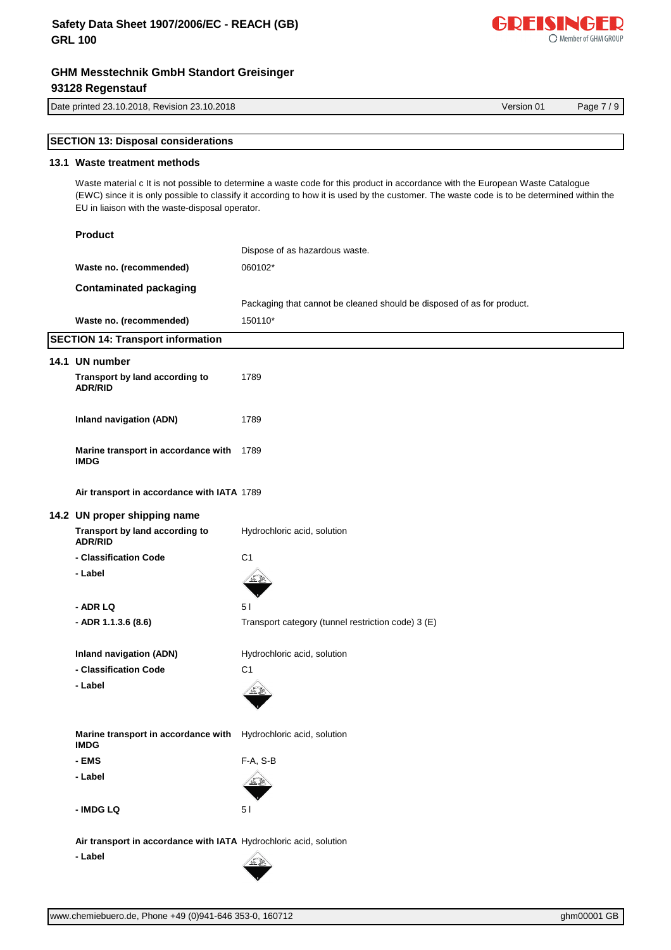## **Safety Data Sheet 1907/2006/EC - REACH (GB) GRL 100**



Date printed 23.10.2018, Revision 23.10.2018 Version 01 Page 7 / 9

| <b>SECTION 13: Disposal considerations</b> |
|--------------------------------------------|
|--------------------------------------------|

## **13.1 Waste treatment methods**

**Product**

Waste material c It is not possible to determine a waste code for this product in accordance with the European Waste Catalogue (EWC) since it is only possible to classify it according to how it is used by the customer. The waste code is to be determined within the EU in liaison with the waste-disposal operator.

|                                                               | <b>Product</b>                                                                 |                                                                        |  |  |  |  |  |
|---------------------------------------------------------------|--------------------------------------------------------------------------------|------------------------------------------------------------------------|--|--|--|--|--|
|                                                               |                                                                                | Dispose of as hazardous waste.<br>060102*                              |  |  |  |  |  |
|                                                               | Waste no. (recommended)                                                        |                                                                        |  |  |  |  |  |
|                                                               | <b>Contaminated packaging</b>                                                  |                                                                        |  |  |  |  |  |
|                                                               |                                                                                | Packaging that cannot be cleaned should be disposed of as for product. |  |  |  |  |  |
|                                                               | Waste no. (recommended)                                                        | 150110*                                                                |  |  |  |  |  |
|                                                               | <b>SECTION 14: Transport information</b>                                       |                                                                        |  |  |  |  |  |
|                                                               | 14.1 UN number                                                                 |                                                                        |  |  |  |  |  |
|                                                               | Transport by land according to<br><b>ADR/RID</b>                               | 1789                                                                   |  |  |  |  |  |
|                                                               | <b>Inland navigation (ADN)</b>                                                 | 1789                                                                   |  |  |  |  |  |
|                                                               | Marine transport in accordance with<br><b>IMDG</b>                             | 1789                                                                   |  |  |  |  |  |
|                                                               | Air transport in accordance with IATA 1789                                     |                                                                        |  |  |  |  |  |
|                                                               | 14.2 UN proper shipping name                                                   |                                                                        |  |  |  |  |  |
|                                                               | Transport by land according to<br><b>ADR/RID</b>                               | Hydrochloric acid, solution                                            |  |  |  |  |  |
|                                                               | - Classification Code                                                          | C <sub>1</sub>                                                         |  |  |  |  |  |
|                                                               | - Label                                                                        |                                                                        |  |  |  |  |  |
|                                                               | - ADR LQ                                                                       | 5 <sub>1</sub>                                                         |  |  |  |  |  |
|                                                               | - ADR 1.1.3.6 (8.6)                                                            | Transport category (tunnel restriction code) 3 (E)                     |  |  |  |  |  |
| <b>Inland navigation (ADN)</b><br>Hydrochloric acid, solution |                                                                                |                                                                        |  |  |  |  |  |
|                                                               | - Classification Code                                                          | C <sub>1</sub>                                                         |  |  |  |  |  |
|                                                               | - Label                                                                        |                                                                        |  |  |  |  |  |
|                                                               | Marine transport in accordance with Hydrochloric acid, solution<br><b>IMDG</b> |                                                                        |  |  |  |  |  |
|                                                               | - EMS                                                                          | $F-A, S-B$                                                             |  |  |  |  |  |
|                                                               | - Label                                                                        |                                                                        |  |  |  |  |  |
|                                                               | - IMDG LQ                                                                      | 5 <sub>1</sub>                                                         |  |  |  |  |  |
|                                                               | Air transport in accordance with IATA Hydrochloric acid, solution              |                                                                        |  |  |  |  |  |
|                                                               | - Label                                                                        |                                                                        |  |  |  |  |  |

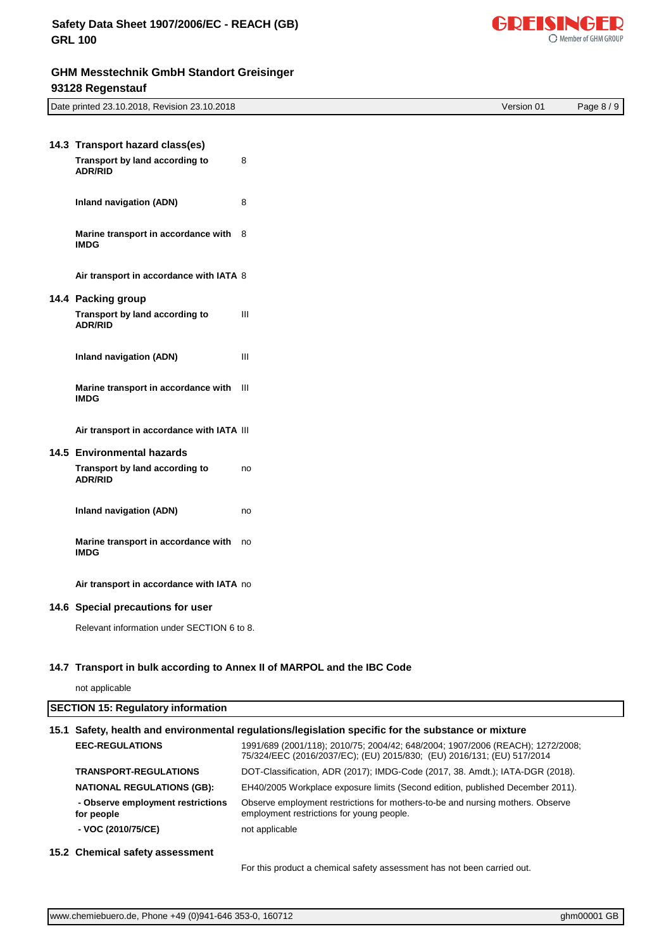

| Date printed 23.10.2018, Revision 23.10.2018 |                                                        |    |  |  | Version 01 | Page 8 / 9 |  |
|----------------------------------------------|--------------------------------------------------------|----|--|--|------------|------------|--|
|                                              |                                                        |    |  |  |            |            |  |
|                                              | 14.3 Transport hazard class(es)                        |    |  |  |            |            |  |
|                                              | Transport by land according to<br>ADR/RID              | 8  |  |  |            |            |  |
|                                              | <b>Inland navigation (ADN)</b>                         | 8  |  |  |            |            |  |
|                                              | Marine transport in accordance with 8<br><b>IMDG</b>   |    |  |  |            |            |  |
|                                              | Air transport in accordance with IATA 8                |    |  |  |            |            |  |
|                                              | 14.4 Packing group                                     |    |  |  |            |            |  |
|                                              | Transport by land according to<br>ADR/RID              | Ш  |  |  |            |            |  |
|                                              | <b>Inland navigation (ADN)</b>                         | Ш  |  |  |            |            |  |
|                                              | Marine transport in accordance with III<br><b>IMDG</b> |    |  |  |            |            |  |
|                                              | Air transport in accordance with IATA III              |    |  |  |            |            |  |
|                                              | 14.5 Environmental hazards                             |    |  |  |            |            |  |
|                                              | Transport by land according to<br><b>ADR/RID</b>       | no |  |  |            |            |  |
|                                              | <b>Inland navigation (ADN)</b>                         | no |  |  |            |            |  |
|                                              | Marine transport in accordance with<br><b>IMDG</b>     | no |  |  |            |            |  |
|                                              | Air transport in accordance with IATA no               |    |  |  |            |            |  |
|                                              | 14.6 Special precautions for user                      |    |  |  |            |            |  |

Relevant information under SECTION 6 to 8.

## **14.7 Transport in bulk according to Annex II of MARPOL and the IBC Code**

not applicable

# **SECTION 15: Regulatory information 15.1 Safety, health and environmental regulations/legislation specific for the substance or mixture**

|                                                 | <b>EEC-REGULATIONS</b>            | 1991/689 (2001/118); 2010/75; 2004/42; 648/2004; 1907/2006 (REACH); 1272/2008;<br>75/324/EEC (2016/2037/EC); (EU) 2015/830; (EU) 2016/131; (EU) 517/2014 |  |  |  |  |  |
|-------------------------------------------------|-----------------------------------|----------------------------------------------------------------------------------------------------------------------------------------------------------|--|--|--|--|--|
|                                                 | <b>TRANSPORT-REGULATIONS</b>      | DOT-Classification, ADR (2017); IMDG-Code (2017, 38. Amdt.); IATA-DGR (2018).                                                                            |  |  |  |  |  |
|                                                 | <b>NATIONAL REGULATIONS (GB):</b> | EH40/2005 Workplace exposure limits (Second edition, published December 2011).                                                                           |  |  |  |  |  |
| - Observe employment restrictions<br>for people |                                   | Observe employment restrictions for mothers-to-be and nursing mothers. Observe<br>employment restrictions for young people.                              |  |  |  |  |  |
|                                                 | - VOC (2010/75/CE)                | not applicable                                                                                                                                           |  |  |  |  |  |
|                                                 |                                   |                                                                                                                                                          |  |  |  |  |  |

**15.2 Chemical safety assessment**

For this product a chemical safety assessment has not been carried out.